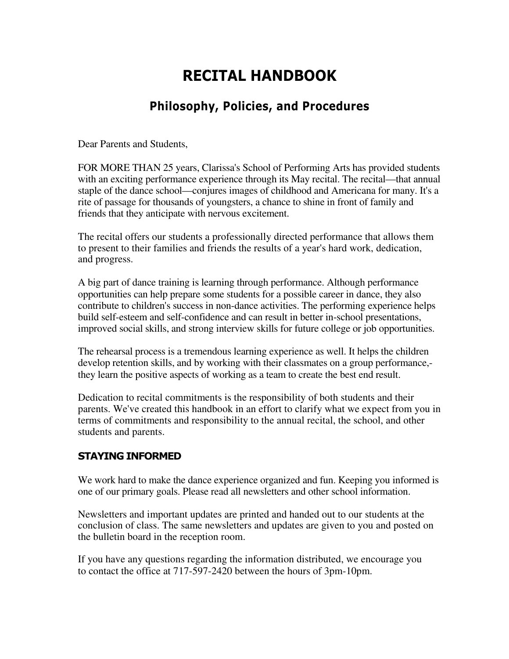# RECITAL HANDBOOK

# Philosophy, Policies, and Procedures

Dear Parents and Students,

FOR MORE THAN 25 years, Clarissa's School of Performing Arts has provided students with an exciting performance experience through its May recital. The recital—that annual staple of the dance school—conjures images of childhood and Americana for many. It's a rite of passage for thousands of youngsters, a chance to shine in front of family and friends that they anticipate with nervous excitement.

The recital offers our students a professionally directed performance that allows them to present to their families and friends the results of a year's hard work, dedication, and progress.

A big part of dance training is learning through performance. Although performance opportunities can help prepare some students for a possible career in dance, they also contribute to children's success in non-dance activities. The performing experience helps build self-esteem and self-confidence and can result in better in-school presentations, improved social skills, and strong interview skills for future college or job opportunities.

The rehearsal process is a tremendous learning experience as well. It helps the children develop retention skills, and by working with their classmates on a group performance, they learn the positive aspects of working as a team to create the best end result.

Dedication to recital commitments is the responsibility of both students and their parents. We've created this handbook in an effort to clarify what we expect from you in terms of commitments and responsibility to the annual recital, the school, and other students and parents.

# STAYING INFORMED

We work hard to make the dance experience organized and fun. Keeping you informed is one of our primary goals. Please read all newsletters and other school information.

Newsletters and important updates are printed and handed out to our students at the conclusion of class. The same newsletters and updates are given to you and posted on the bulletin board in the reception room.

If you have any questions regarding the information distributed, we encourage you to contact the office at 717-597-2420 between the hours of 3pm-10pm.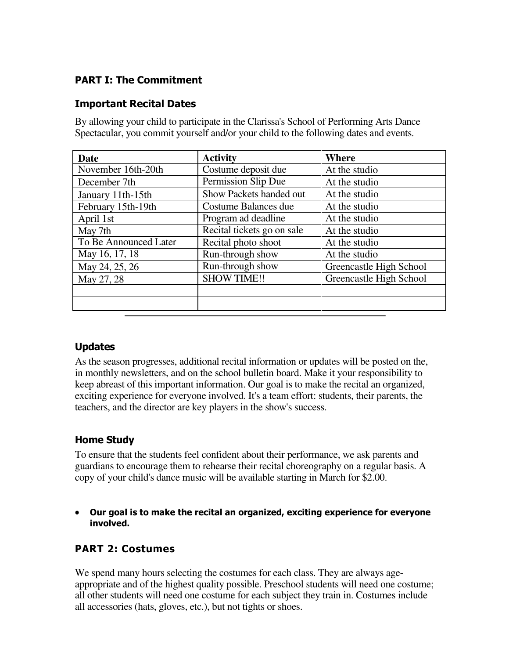# PART I: The Commitment

# Important Recital Dates

| By allowing your child to participate in the Clarissa's School of Performing Arts Dance |  |
|-----------------------------------------------------------------------------------------|--|
| Spectacular, you commit yourself and/or your child to the following dates and events.   |  |

| Date                  | <b>Activity</b>            | Where                   |  |
|-----------------------|----------------------------|-------------------------|--|
| November 16th-20th    | Costume deposit due        | At the studio           |  |
| December 7th          | Permission Slip Due        | At the studio           |  |
| January 11th-15th     | Show Packets handed out    | At the studio           |  |
| February 15th-19th    | Costume Balances due       | At the studio           |  |
| April 1st             | Program ad deadline        | At the studio           |  |
| May 7th               | Recital tickets go on sale | At the studio           |  |
| To Be Announced Later | Recital photo shoot        | At the studio           |  |
| May 16, 17, 18        | Run-through show           | At the studio           |  |
| May 24, 25, 26        | Run-through show           | Greencastle High School |  |
| May 27, 28            | <b>SHOW TIME!!</b>         | Greencastle High School |  |
|                       |                            |                         |  |
|                       |                            |                         |  |

# Updates

As the season progresses, additional recital information or updates will be posted on the, in monthly newsletters, and on the school bulletin board. Make it your responsibility to keep abreast of this important information. Our goal is to make the recital an organized, exciting experience for everyone involved. It's a team effort: students, their parents, the teachers, and the director are key players in the show's success.

# Home Study

To ensure that the students feel confident about their performance, we ask parents and guardians to encourage them to rehearse their recital choreography on a regular basis. A copy of your child's dance music will be available starting in March for \$2.00.

• Our goal is to make the recital an organized, exciting experience for everyone involved.

# PART 2: Costumes

We spend many hours selecting the costumes for each class. They are always ageappropriate and of the highest quality possible. Preschool students will need one costume; all other students will need one costume for each subject they train in. Costumes include all accessories (hats, gloves, etc.), but not tights or shoes.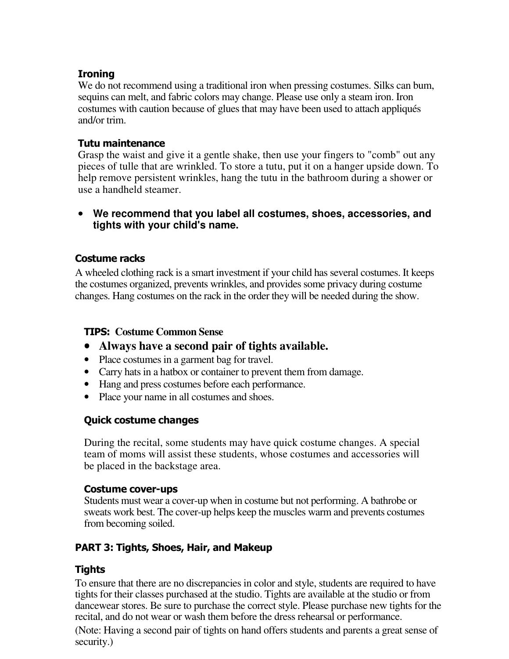# Ironing

We do not recommend using a traditional iron when pressing costumes. Silks can bum, sequins can melt, and fabric colors may change. Please use only a steam iron. Iron costumes with caution because of glues that may have been used to attach appliqués and/or trim.

## Tutu maintenance

Grasp the waist and give it a gentle shake, then use your fingers to "comb" out any pieces of tulle that are wrinkled. To store a tutu, put it on a hanger upside down. To help remove persistent wrinkles, hang the tutu in the bathroom during a shower or use a handheld steamer.

#### • **We recommend that you label all costumes, shoes, accessories, and tights with your child's name.**

# Costume racks

A wheeled clothing rack is a smart investment if your child has several costumes. It keeps the costumes organized, prevents wrinkles, and provides some privacy during costume changes. Hang costumes on the rack in the order they will be needed during the show.

# TIPS: **Costume Common Sense**

- **Always have a second pair of tights available.**
- Place costumes in a garment bag for travel.
- Carry hats in a hatbox or container to prevent them from damage.
- Hang and press costumes before each performance.
- Place your name in all costumes and shoes.

# Quick costume changes

During the recital, some students may have quick costume changes. A special team of moms will assist these students, whose costumes and accessories will be placed in the backstage area.

# Costume cover-ups

Students must wear a cover-up when in costume but not performing. A bathrobe or sweats work best. The cover-up helps keep the muscles warm and prevents costumes from becoming soiled.

# PART 3: Tights, Shoes, Hair, and Makeup

# Tights

To ensure that there are no discrepancies in color and style, students are required to have tights for their classes purchased at the studio. Tights are available at the studio or from dancewear stores. Be sure to purchase the correct style. Please purchase new tights for the recital, and do not wear or wash them before the dress rehearsal or performance.

(Note: Having a second pair of tights on hand offers students and parents a great sense of security.)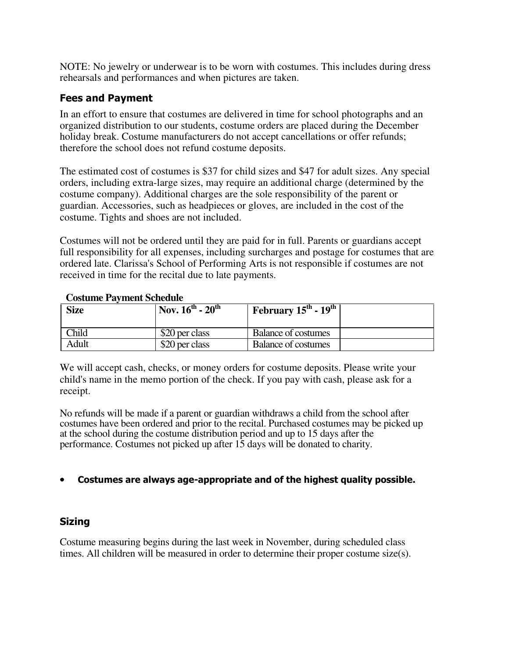NOTE: No jewelry or underwear is to be worn with costumes. This includes during dress rehearsals and performances and when pictures are taken.

# Fees and Payment

In an effort to ensure that costumes are delivered in time for school photographs and an organized distribution to our students, costume orders are placed during the December holiday break. Costume manufacturers do not accept cancellations or offer refunds; therefore the school does not refund costume deposits.

The estimated cost of costumes is \$37 for child sizes and \$47 for adult sizes. Any special orders, including extra-large sizes, may require an additional charge (determined by the costume company). Additional charges are the sole responsibility of the parent or guardian. Accessories, such as headpieces or gloves, are included in the cost of the costume. Tights and shoes are not included.

Costumes will not be ordered until they are paid for in full. Parents or guardians accept full responsibility for all expenses, including surcharges and postage for costumes that are ordered late. Clarissa's School of Performing Arts is not responsible if costumes are not received in time for the recital due to late payments.

| <u>Coovember A William Demograp</u> |                          |                                                     |  |  |
|-------------------------------------|--------------------------|-----------------------------------------------------|--|--|
| <b>Size</b>                         | $Nov. 16^{th} - 20^{th}$ | <b>February</b> $15^{\text{th}}$ - $19^{\text{th}}$ |  |  |
| <b>Child</b>                        | \$20 per class           | Balance of costumes                                 |  |  |
| Adult                               | \$20 per class           | Balance of costumes                                 |  |  |

#### **Costume Payment Schedule**

We will accept cash, checks, or money orders for costume deposits. Please write your child's name in the memo portion of the check. If you pay with cash, please ask for a receipt.

No refunds will be made if a parent or guardian withdraws a child from the school after costumes have been ordered and prior to the recital. Purchased costumes may be picked up at the school during the costume distribution period and up to 15 days after the performance. Costumes not picked up after 15 days will be donated to charity.

# • Costumes are always age-appropriate and of the highest quality possible.

# **Sizing**

Costume measuring begins during the last week in November, during scheduled class times. All children will be measured in order to determine their proper costume size(s).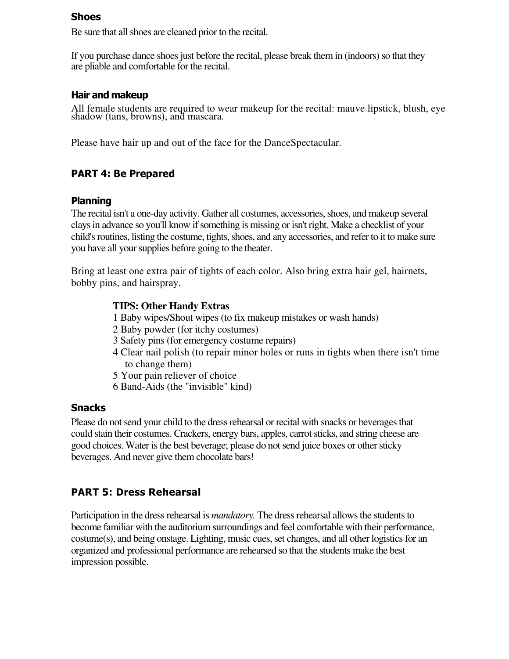#### Shoes

Be sure that all shoes are cleaned prior to the recital.

If you purchase dance shoes just before the recital, please break them in (indoors) so that they are pliable and comfortable for the recital.

#### Hair and makeup

All female students are required to wear makeup for the recital: mauve lipstick, blush, eye shadow (tans, browns), and mascara.

Please have hair up and out of the face for the DanceSpectacular.

# PART 4: Be Prepared

# Planning

The recital isn't a one-day activity. Gather all costumes, accessories, shoes, and makeup several clays in advance so you'll know if something is missing or isn't right. Make a checklist of your child's routines, listing the costume, tights, shoes, and any accessories, and refer to it to make sure you have all your supplies before going to the theater.

Bring at least one extra pair of tights of each color. Also bring extra hair gel, hairnets, bobby pins, and hairspray.

#### **TIPS: Other Handy Extras**

- 1 Baby wipes/Shout wipes (to fix makeup mistakes or wash hands)
- 2 Baby powder (for itchy costumes)
- 3 Safety pins (for emergency costume repairs)
- 4 Clear nail polish (to repair minor holes or runs in tights when there isn't time to change them)
- 5 Your pain reliever of choice
- 6 Band-Aids (the "invisible" kind)

#### **Snacks**

Please do not send your child to the dress rehearsal or recital with snacks or beverages that could stain their costumes. Crackers, energy bars, apples, carrot sticks, and string cheese are good choices. Water is the best beverage; please do not send juice boxes or other sticky beverages. And never give them chocolate bars!

# PART 5: Dress Rehearsal

Participation in the dress rehearsal is *mandatory.* The dress rehearsal allows the students to become familiar with the auditorium surroundings and feel comfortable with their performance, costume(s), and being onstage. Lighting, music cues, set changes, and all other logistics for an organized and professional performance are rehearsed so that the students make the best impression possible.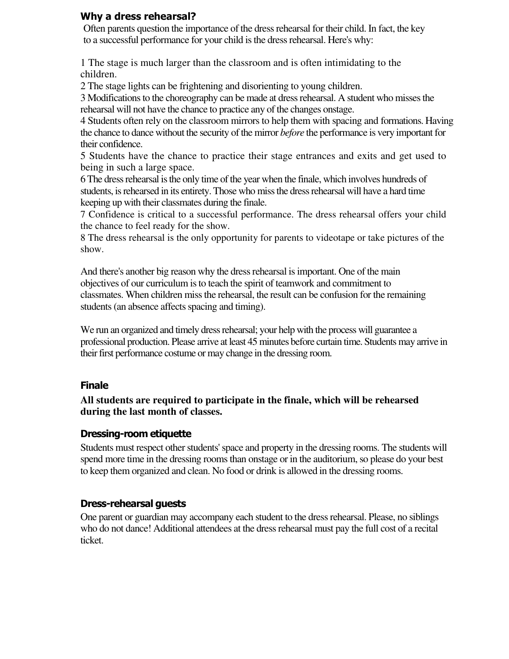## Why a dress rehearsal?

Often parents question the importance of the dress rehearsal for their child. In fact, the key to a successful performance for your child is the dress rehearsal. Here's why:

1 The stage is much larger than the classroom and is often intimidating to the children.

2 The stage lights can be frightening and disorienting to young children.

3 Modifications to the choreography can be made at dress rehearsal. A student who misses the rehearsal will not have the chance to practice any of the changes onstage.

4 Students often rely on the classroom mirrors to help them with spacing and formations. Having the chance to dance without the security of the mirror *before* the performance is very important for their confidence.

5 Students have the chance to practice their stage entrances and exits and get used to being in such a large space.

6 The dress rehearsal is the only time of the year when the finale, which involves hundreds of students, is rehearsed in its entirety. Those who miss the dress rehearsal will have a hard time keeping up with their classmates during the finale.

7 Confidence is critical to a successful performance. The dress rehearsal offers your child the chance to feel ready for the show.

8 The dress rehearsal is the only opportunity for parents to videotape or take pictures of the show.

And there's another big reason why the dress rehearsal is important. One of the main objectives of our curriculum is to teach the spirit of teamwork and commitment to classmates. When children miss the rehearsal, the result can be confusion for the remaining students (an absence affects spacing and timing).

We run an organized and timely dress rehearsal; your help with the process will guarantee a professional production. Please arrive at least 45 minutes before curtain time. Students may arrive in their first performance costume or may change in the dressing room.

#### Finale

**All students are required to participate in the finale, which will be rehearsed during the last month of classes.** 

# Dressing-room etiquette

Students must respect other students' space and property in the dressing rooms. The students will spend more time in the dressing rooms than onstage or in the auditorium, so please do your best to keep them organized and clean. No food or drink is allowed in the dressing rooms.

#### Dress-rehearsal guests

One parent or guardian may accompany each student to the dress rehearsal. Please, no siblings who do not dance! Additional attendees at the dress rehearsal must pay the full cost of a recital ticket.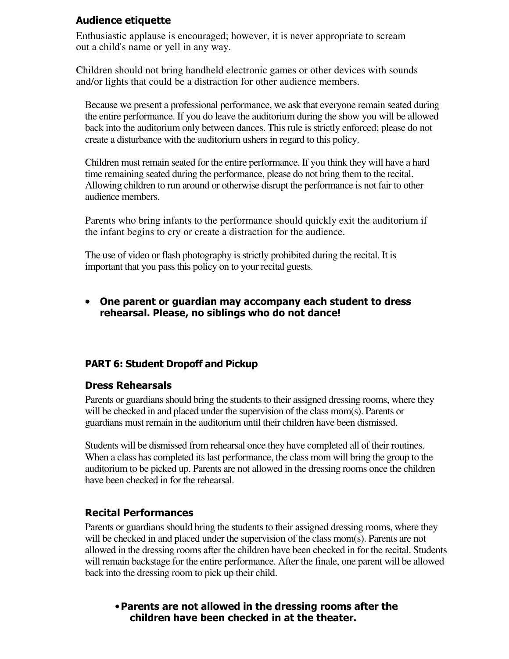# Audience etiquette

Enthusiastic applause is encouraged; however, it is never appropriate to scream out a child's name or yell in any way.

Children should not bring handheld electronic games or other devices with sounds and/or lights that could be a distraction for other audience members.

Because we present a professional performance, we ask that everyone remain seated during the entire performance. If you do leave the auditorium during the show you will be allowed back into the auditorium only between dances. This rule is strictly enforced; please do not create a disturbance with the auditorium ushers in regard to this policy.

Children must remain seated for the entire performance. If you think they will have a hard time remaining seated during the performance, please do not bring them to the recital. Allowing children to run around or otherwise disrupt the performance is not fair to other audience members.

Parents who bring infants to the performance should quickly exit the auditorium if the infant begins to cry or create a distraction for the audience.

The use of video or flash photography is strictly prohibited during the recital. It is important that you pass this policy on to your recital guests.

• One parent or guardian may accompany each student to dress rehearsal. Please, no siblings who do not dance!

# PART 6: Student Dropoff and Pickup

#### Dress Rehearsals

Parents or guardians should bring the students to their assigned dressing rooms, where they will be checked in and placed under the supervision of the class mom(s). Parents or guardians must remain in the auditorium until their children have been dismissed.

Students will be dismissed from rehearsal once they have completed all of their routines. When a class has completed its last performance, the class mom will bring the group to the auditorium to be picked up. Parents are not allowed in the dressing rooms once the children have been checked in for the rehearsal.

#### Recital Performances

Parents or guardians should bring the students to their assigned dressing rooms, where they will be checked in and placed under the supervision of the class mom(s). Parents are not allowed in the dressing rooms after the children have been checked in for the recital. Students will remain backstage for the entire performance. After the finale, one parent will be allowed back into the dressing room to pick up their child.

#### •Parents are not allowed in the dressing rooms after the children have been checked in at the theater.